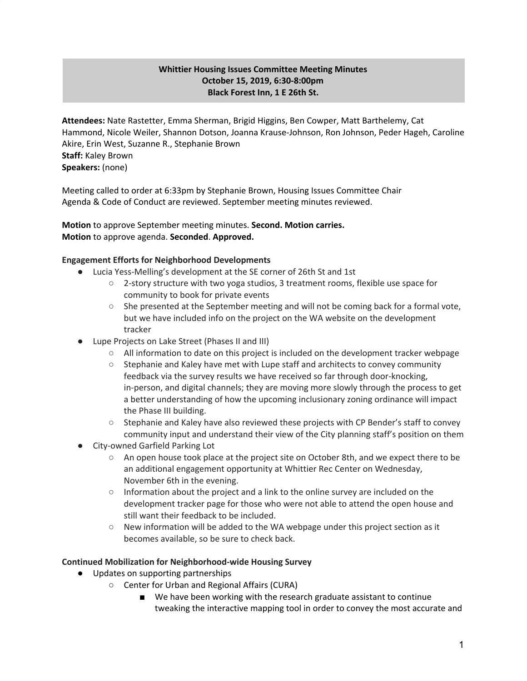# **Whittier Housing Issues Committee Meeting Minutes October 15, 2019, 6:30-8:00pm Black Forest Inn, 1 E 26th St.**

**Attendees:** Nate Rastetter, Emma Sherman, Brigid Higgins, Ben Cowper, Matt Barthelemy, Cat Hammond, Nicole Weiler, Shannon Dotson, Joanna Krause-Johnson, Ron Johnson, Peder Hageh, Caroline Akire, Erin West, Suzanne R., Stephanie Brown **Staff:** Kaley Brown **Speakers:** (none)

Meeting called to order at 6:33pm by Stephanie Brown, Housing Issues Committee Chair Agenda & Code of Conduct are reviewed. September meeting minutes reviewed.

**Motion** to approve September meeting minutes. **Second. Motion carries. Motion** to approve agenda. **Seconded**. **Approved.**

## **Engagement Efforts for Neighborhood Developments**

- Lucia Yess-Melling's development at the SE corner of 26th St and 1st
	- 2-story structure with two yoga studios, 3 treatment rooms, flexible use space for community to book for private events
	- She presented at the September meeting and will not be coming back for a formal vote, but we have included info on the project on the WA website on the development tracker
- Lupe Projects on Lake Street (Phases II and III)
	- All information to date on this project is included on the development tracker webpage
	- Stephanie and Kaley have met with Lupe staff and architects to convey community feedback via the survey results we have received so far through door-knocking, in-person, and digital channels; they are moving more slowly through the process to get a better understanding of how the upcoming inclusionary zoning ordinance will impact the Phase III building.
	- Stephanie and Kaley have also reviewed these projects with CP Bender's staff to convey community input and understand their view of the City planning staff's position on them
- **City-owned Garfield Parking Lot** 
	- An open house took place at the project site on October 8th, and we expect there to be an additional engagement opportunity at Whittier Rec Center on Wednesday, November 6th in the evening.
	- Information about the project and a link to the online survey are included on the development tracker page for those who were not able to attend the open house and still want their feedback to be included.
	- $\circ$  New information will be added to the WA webpage under this project section as it becomes available, so be sure to check back.

#### **Continued Mobilization for Neighborhood-wide Housing Survey**

- Updates on supporting partnerships
	- Center for Urban and Regional Affairs (CURA)
		- We have been working with the research graduate assistant to continue tweaking the interactive mapping tool in order to convey the most accurate and